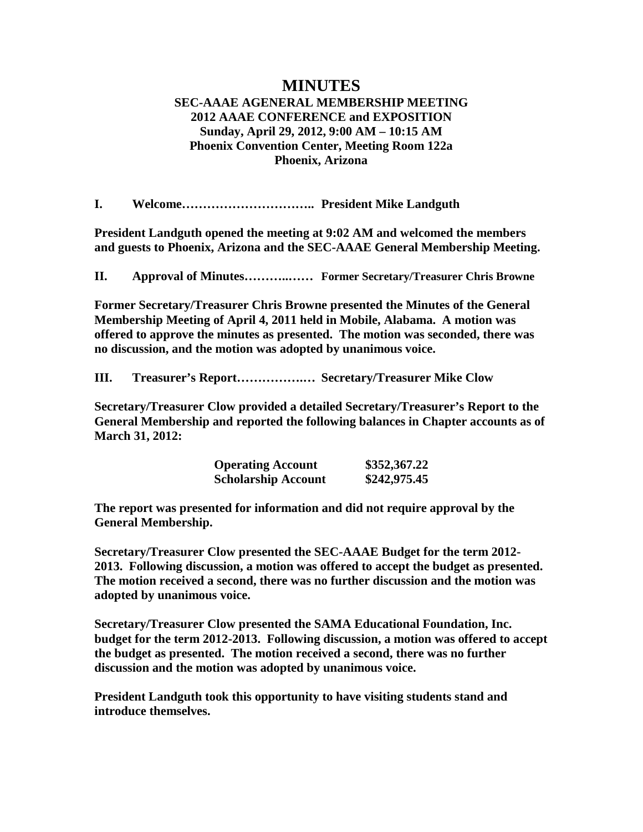## **MINUTES SEC-AAAE AGENERAL MEMBERSHIP MEETING 2012 AAAE CONFERENCE and EXPOSITION Sunday, April 29, 2012, 9:00 AM – 10:15 AM Phoenix Convention Center, Meeting Room 122a Phoenix, Arizona**

**I. Welcome………………………….. President Mike Landguth**

**President Landguth opened the meeting at 9:02 AM and welcomed the members and guests to Phoenix, Arizona and the SEC-AAAE General Membership Meeting.**

**II. Approval of Minutes………..…… Former Secretary/Treasurer Chris Browne**

**Former Secretary/Treasurer Chris Browne presented the Minutes of the General Membership Meeting of April 4, 2011 held in Mobile, Alabama. A motion was offered to approve the minutes as presented. The motion was seconded, there was no discussion, and the motion was adopted by unanimous voice.**

**III. Treasurer's Report…………….… Secretary/Treasurer Mike Clow**

**Secretary/Treasurer Clow provided a detailed Secretary/Treasurer's Report to the General Membership and reported the following balances in Chapter accounts as of March 31, 2012:**

| <b>Operating Account</b>   | \$352,367.22 |
|----------------------------|--------------|
| <b>Scholarship Account</b> | \$242,975.45 |

**The report was presented for information and did not require approval by the General Membership.**

**Secretary/Treasurer Clow presented the SEC-AAAE Budget for the term 2012- 2013. Following discussion, a motion was offered to accept the budget as presented. The motion received a second, there was no further discussion and the motion was adopted by unanimous voice.**

**Secretary/Treasurer Clow presented the SAMA Educational Foundation, Inc. budget for the term 2012-2013. Following discussion, a motion was offered to accept the budget as presented. The motion received a second, there was no further discussion and the motion was adopted by unanimous voice.**

**President Landguth took this opportunity to have visiting students stand and introduce themselves.**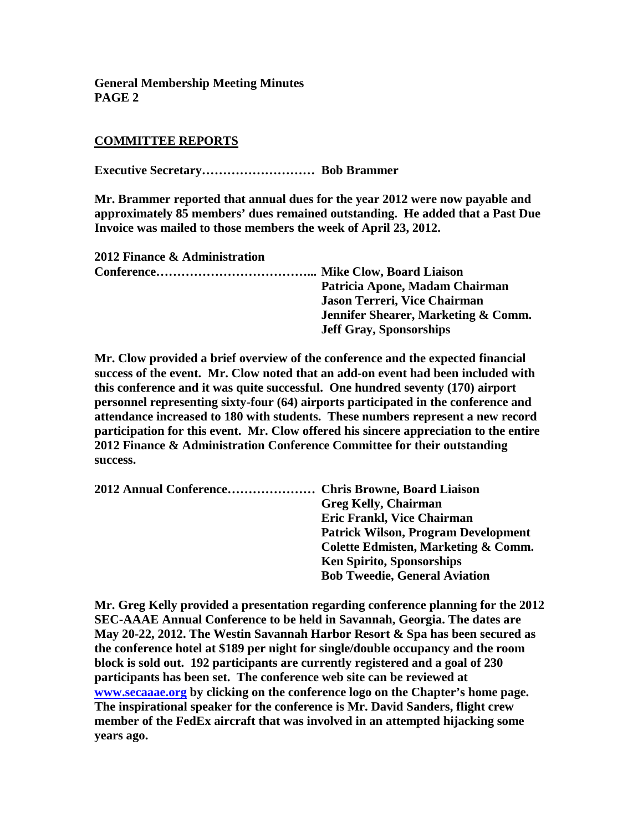**General Membership Meeting Minutes PAGE 2**

## **COMMITTEE REPORTS**

**Executive Secretary……………………… Bob Brammer**

**Mr. Brammer reported that annual dues for the year 2012 were now payable and approximately 85 members' dues remained outstanding. He added that a Past Due Invoice was mailed to those members the week of April 23, 2012.**

**2012 Finance & Administration Conference………………………………... Mike Clow, Board Liaison Patricia Apone, Madam Chairman Jason Terreri, Vice Chairman Jennifer Shearer, Marketing & Comm. Jeff Gray, Sponsorships**

**Mr. Clow provided a brief overview of the conference and the expected financial success of the event. Mr. Clow noted that an add-on event had been included with this conference and it was quite successful. One hundred seventy (170) airport personnel representing sixty-four (64) airports participated in the conference and attendance increased to 180 with students. These numbers represent a new record participation for this event. Mr. Clow offered his sincere appreciation to the entire 2012 Finance & Administration Conference Committee for their outstanding success.**

| 2012 Annual Conference Chris Browne, Board Liaison |                                            |
|----------------------------------------------------|--------------------------------------------|
|                                                    | <b>Greg Kelly, Chairman</b>                |
|                                                    | <b>Eric Frankl, Vice Chairman</b>          |
|                                                    | <b>Patrick Wilson, Program Development</b> |
|                                                    | Colette Edmisten, Marketing & Comm.        |
|                                                    | <b>Ken Spirito, Sponsorships</b>           |
|                                                    | <b>Bob Tweedie, General Aviation</b>       |

**Mr. Greg Kelly provided a presentation regarding conference planning for the 2012 SEC-AAAE Annual Conference to be held in Savannah, Georgia. The dates are May 20-22, 2012. The Westin Savannah Harbor Resort & Spa has been secured as the conference hotel at \$189 per night for single/double occupancy and the room block is sold out. 192 participants are currently registered and a goal of 230 participants has been set. The conference web site can be reviewed at [www.secaaae.org](http://www.secaaae.org/) by clicking on the conference logo on the Chapter's home page. The inspirational speaker for the conference is Mr. David Sanders, flight crew member of the FedEx aircraft that was involved in an attempted hijacking some years ago.**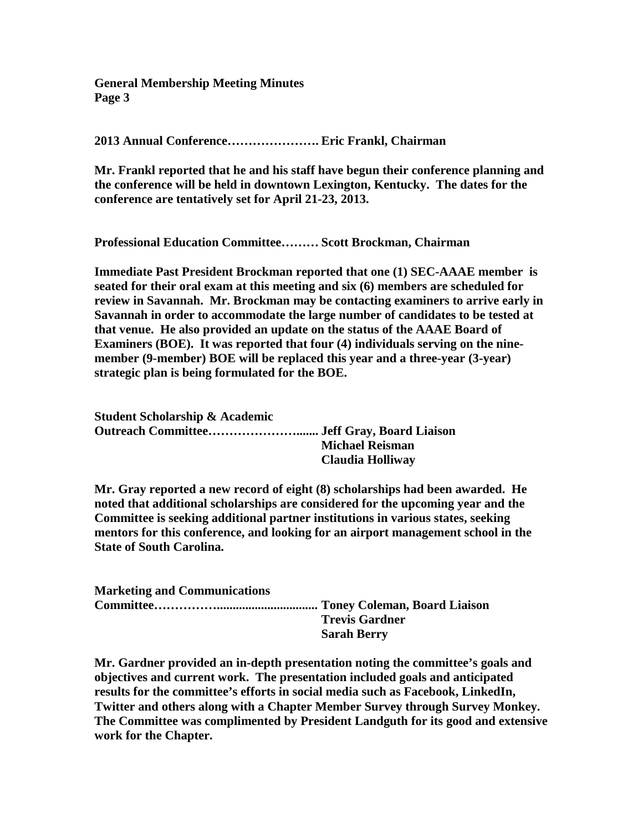**General Membership Meeting Minutes Page 3**

**2013 Annual Conference…………………. Eric Frankl, Chairman**

**Mr. Frankl reported that he and his staff have begun their conference planning and the conference will be held in downtown Lexington, Kentucky. The dates for the conference are tentatively set for April 21-23, 2013.**

**Professional Education Committee……… Scott Brockman, Chairman**

**Immediate Past President Brockman reported that one (1) SEC-AAAE member is seated for their oral exam at this meeting and six (6) members are scheduled for review in Savannah. Mr. Brockman may be contacting examiners to arrive early in Savannah in order to accommodate the large number of candidates to be tested at that venue. He also provided an update on the status of the AAAE Board of Examiners (BOE). It was reported that four (4) individuals serving on the ninemember (9-member) BOE will be replaced this year and a three-year (3-year) strategic plan is being formulated for the BOE.**

| <b>Student Scholarship &amp; Academic</b> |                        |
|-------------------------------------------|------------------------|
|                                           |                        |
|                                           | <b>Michael Reisman</b> |
|                                           | Claudia Holliway       |

**Mr. Gray reported a new record of eight (8) scholarships had been awarded. He noted that additional scholarships are considered for the upcoming year and the Committee is seeking additional partner institutions in various states, seeking mentors for this conference, and looking for an airport management school in the State of South Carolina.** 

| <b>Marketing and Communications</b> |                       |
|-------------------------------------|-----------------------|
|                                     |                       |
|                                     | <b>Trevis Gardner</b> |
|                                     | <b>Sarah Berry</b>    |

**Mr. Gardner provided an in-depth presentation noting the committee's goals and objectives and current work. The presentation included goals and anticipated results for the committee's efforts in social media such as Facebook, LinkedIn, Twitter and others along with a Chapter Member Survey through Survey Monkey. The Committee was complimented by President Landguth for its good and extensive work for the Chapter.**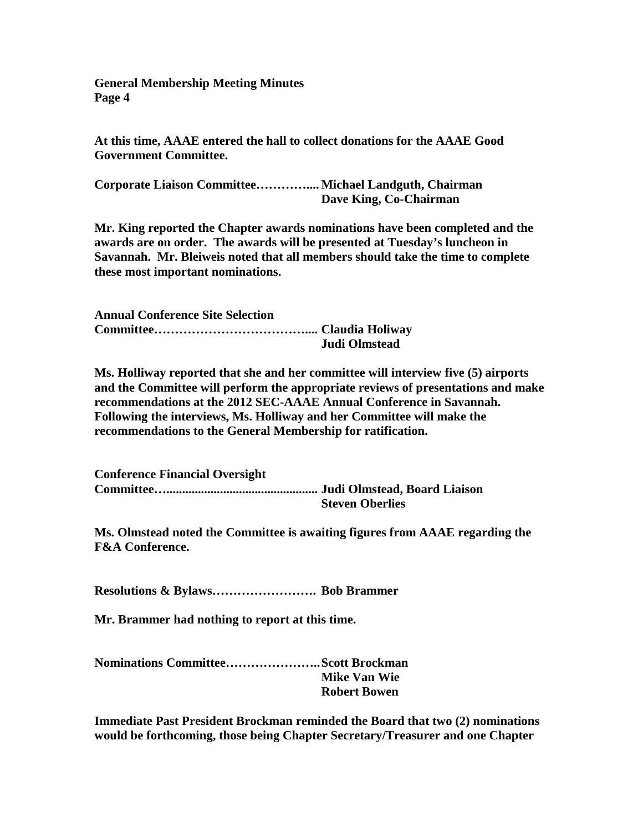**General Membership Meeting Minutes Page 4**

**At this time, AAAE entered the hall to collect donations for the AAAE Good Government Committee.**

**Corporate Liaison Committee………….... Michael Landguth, Chairman Dave King, Co-Chairman**

**Mr. King reported the Chapter awards nominations have been completed and the awards are on order. The awards will be presented at Tuesday's luncheon in Savannah. Mr. Bleiweis noted that all members should take the time to complete these most important nominations.**

**Annual Conference Site Selection Committee……………………………….... Claudia Holiway Judi Olmstead**

**Ms. Holliway reported that she and her committee will interview five (5) airports and the Committee will perform the appropriate reviews of presentations and make recommendations at the 2012 SEC-AAAE Annual Conference in Savannah. Following the interviews, Ms. Holliway and her Committee will make the recommendations to the General Membership for ratification.**

**Conference Financial Oversight Committee…................................................ Judi Olmstead, Board Liaison Steven Oberlies**

**Ms. Olmstead noted the Committee is awaiting figures from AAAE regarding the F&A Conference.**

**Resolutions & Bylaws……………………. Bob Brammer**

**Mr. Brammer had nothing to report at this time.**

**Nominations Committee…………………..Scott Brockman Mike Van Wie Robert Bowen**

**Immediate Past President Brockman reminded the Board that two (2) nominations would be forthcoming, those being Chapter Secretary/Treasurer and one Chapter**